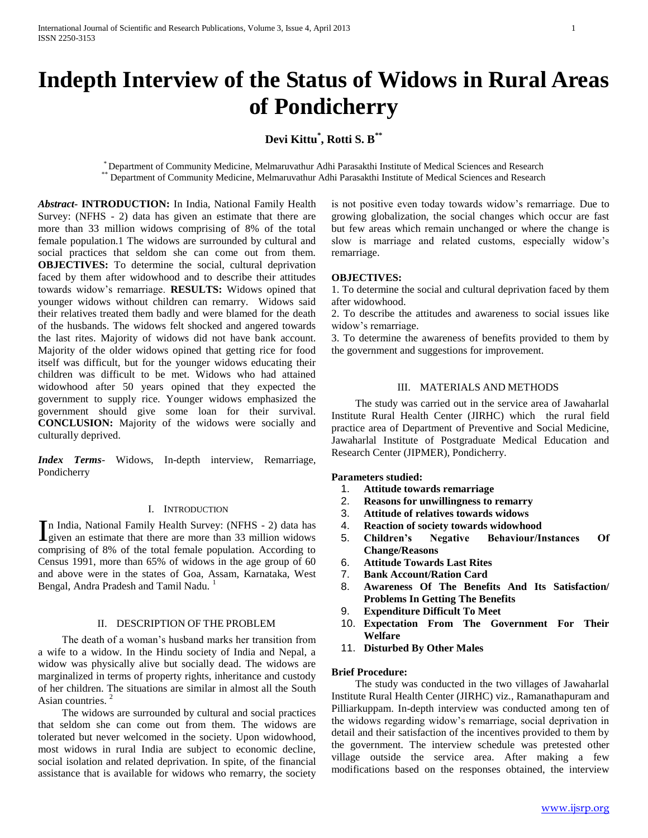# **Indepth Interview of the Status of Widows in Rural Areas of Pondicherry**

# **Devi Kittu\* , Rotti S. B\*\***

\* Department of Community Medicine, Melmaruvathur Adhi Parasakthi Institute of Medical Sciences and Research \*\* Department of Community Medicine, Melmaruvathur Adhi Parasakthi Institute of Medical Sciences and Research

*Abstract***- INTRODUCTION:** In India, National Family Health Survey: (NFHS - 2) data has given an estimate that there are more than 33 million widows comprising of 8% of the total female population.1 The widows are surrounded by cultural and social practices that seldom she can come out from them. **OBJECTIVES:** To determine the social, cultural deprivation faced by them after widowhood and to describe their attitudes towards widow's remarriage. **RESULTS:** Widows opined that younger widows without children can remarry. Widows said their relatives treated them badly and were blamed for the death of the husbands. The widows felt shocked and angered towards the last rites. Majority of widows did not have bank account. Majority of the older widows opined that getting rice for food itself was difficult, but for the younger widows educating their children was difficult to be met. Widows who had attained widowhood after 50 years opined that they expected the government to supply rice. Younger widows emphasized the government should give some loan for their survival. **CONCLUSION:** Majority of the widows were socially and culturally deprived.

*Index Terms*- Widows, In-depth interview, Remarriage, Pondicherry

# I. INTRODUCTION

In India, National Family Health Survey: (NFHS - 2) data has given an estimate that there are more than 33 million widows **L**given an estimate that there are more than 33 million widows comprising of 8% of the total female population. According to Census 1991, more than 65% of widows in the age group of 60 and above were in the states of Goa, Assam, Karnataka, West Bengal, Andra Pradesh and Tamil Nadu.<sup>1</sup>

# II. DESCRIPTION OF THE PROBLEM

 The death of a woman's husband marks her transition from a wife to a widow. In the Hindu society of India and Nepal, a widow was physically alive but socially dead. The widows are marginalized in terms of property rights, inheritance and custody of her children. The situations are similar in almost all the South Asian countries.<sup>2</sup>

 The widows are surrounded by cultural and social practices that seldom she can come out from them. The widows are tolerated but never welcomed in the society. Upon widowhood, most widows in rural India are subject to economic decline, social isolation and related deprivation. In spite, of the financial assistance that is available for widows who remarry, the society

is not positive even today towards widow's remarriage. Due to growing globalization, the social changes which occur are fast but few areas which remain unchanged or where the change is slow is marriage and related customs, especially widow's remarriage.

## **OBJECTIVES:**

1. To determine the social and cultural deprivation faced by them after widowhood.

2. To describe the attitudes and awareness to social issues like widow's remarriage.

3. To determine the awareness of benefits provided to them by the government and suggestions for improvement.

#### III. MATERIALS AND METHODS

 The study was carried out in the service area of Jawaharlal Institute Rural Health Center (JIRHC) which the rural field practice area of Department of Preventive and Social Medicine, Jawaharlal Institute of Postgraduate Medical Education and Research Center (JIPMER), Pondicherry.

## **Parameters studied:**

- 1. **Attitude towards remarriage**
- 2. **Reasons for unwillingness to remarry**
- 3. **Attitude of relatives towards widows**
- 4. **Reaction of society towards widowhood**
- 5. **Children's Negative Behaviour/Instances Of Change/Reasons**
- 6. **Attitude Towards Last Rites**
- 7. **Bank Account/Ration Card**
- 8. **Awareness Of The Benefits And Its Satisfaction/ Problems In Getting The Benefits**
- 9. **Expenditure Difficult To Meet**
- 10. **Expectation From The Government For Their Welfare**
- 11. **Disturbed By Other Males**

## **Brief Procedure:**

 The study was conducted in the two villages of Jawaharlal Institute Rural Health Center (JIRHC) viz., Ramanathapuram and Pilliarkuppam. In-depth interview was conducted among ten of the widows regarding widow's remarriage, social deprivation in detail and their satisfaction of the incentives provided to them by the government. The interview schedule was pretested other village outside the service area. After making a few modifications based on the responses obtained, the interview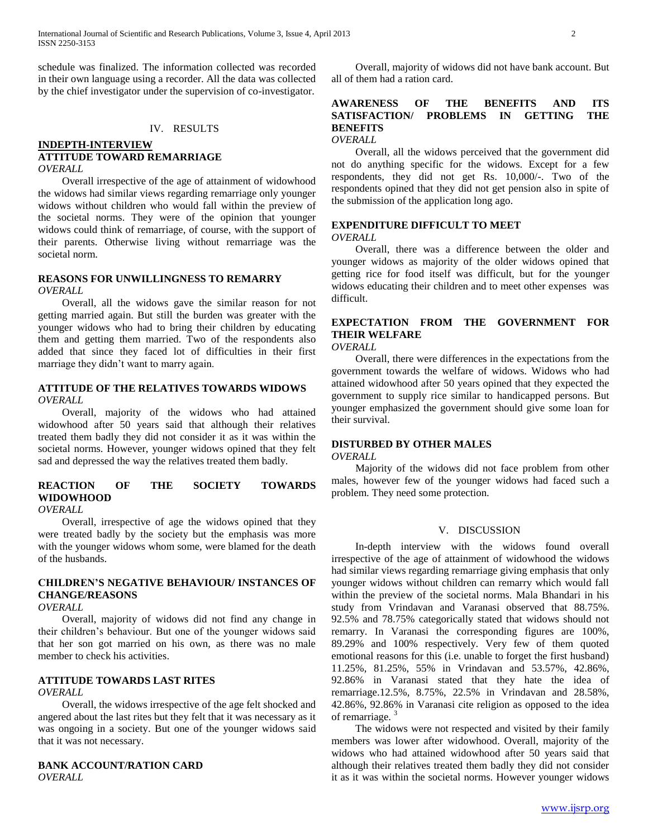schedule was finalized. The information collected was recorded in their own language using a recorder. All the data was collected by the chief investigator under the supervision of co-investigator.

## IV. RESULTS

## **INDEPTH-INTERVIEW ATTITUDE TOWARD REMARRIAGE** *OVERALL*

 Overall irrespective of the age of attainment of widowhood the widows had similar views regarding remarriage only younger widows without children who would fall within the preview of the societal norms. They were of the opinion that younger widows could think of remarriage, of course, with the support of their parents. Otherwise living without remarriage was the societal norm.

## **REASONS FOR UNWILLINGNESS TO REMARRY** *OVERALL*

 Overall, all the widows gave the similar reason for not getting married again. But still the burden was greater with the younger widows who had to bring their children by educating them and getting them married. Two of the respondents also added that since they faced lot of difficulties in their first marriage they didn't want to marry again.

# **ATTITUDE OF THE RELATIVES TOWARDS WIDOWS** *OVERALL*

 Overall, majority of the widows who had attained widowhood after 50 years said that although their relatives treated them badly they did not consider it as it was within the societal norms. However, younger widows opined that they felt sad and depressed the way the relatives treated them badly.

# **REACTION OF THE SOCIETY TOWARDS WIDOWHOOD**

*OVERALL*

 Overall, irrespective of age the widows opined that they were treated badly by the society but the emphasis was more with the younger widows whom some, were blamed for the death of the husbands.

# **CHILDREN'S NEGATIVE BEHAVIOUR/ INSTANCES OF CHANGE/REASONS**

# *OVERALL*

 Overall, majority of widows did not find any change in their children's behaviour. But one of the younger widows said that her son got married on his own, as there was no male member to check his activities.

# **ATTITUDE TOWARDS LAST RITES**

# *OVERALL*

 Overall, the widows irrespective of the age felt shocked and angered about the last rites but they felt that it was necessary as it was ongoing in a society. But one of the younger widows said that it was not necessary.

# **BANK ACCOUNT/RATION CARD** *OVERALL*

 Overall, majority of widows did not have bank account. But all of them had a ration card.

# **AWARENESS OF THE BENEFITS AND ITS SATISFACTION/ PROBLEMS IN GETTING THE BENEFITS**

*OVERALL*

 Overall, all the widows perceived that the government did not do anything specific for the widows. Except for a few respondents, they did not get Rs. 10,000/-. Two of the respondents opined that they did not get pension also in spite of the submission of the application long ago.

#### **EXPENDITURE DIFFICULT TO MEET** *OVERALL*

 Overall, there was a difference between the older and younger widows as majority of the older widows opined that getting rice for food itself was difficult, but for the younger widows educating their children and to meet other expenses was difficult.

# **EXPECTATION FROM THE GOVERNMENT FOR THEIR WELFARE**

*OVERALL*

 Overall, there were differences in the expectations from the government towards the welfare of widows. Widows who had attained widowhood after 50 years opined that they expected the government to supply rice similar to handicapped persons. But younger emphasized the government should give some loan for their survival.

#### **DISTURBED BY OTHER MALES** *OVERALL*

 Majority of the widows did not face problem from other males, however few of the younger widows had faced such a problem. They need some protection.

# V. DISCUSSION

 In-depth interview with the widows found overall irrespective of the age of attainment of widowhood the widows had similar views regarding remarriage giving emphasis that only younger widows without children can remarry which would fall within the preview of the societal norms. Mala Bhandari in his study from Vrindavan and Varanasi observed that 88.75%. 92.5% and 78.75% categorically stated that widows should not remarry. In Varanasi the corresponding figures are 100%, 89.29% and 100% respectively. Very few of them quoted emotional reasons for this (i.e. unable to forget the first husband) 11.25%, 81.25%, 55% in Vrindavan and 53.57%, 42.86%, 92.86% in Varanasi stated that they hate the idea of remarriage.12.5%, 8.75%, 22.5% in Vrindavan and 28.58%, 42.86%, 92.86% in Varanasi cite religion as opposed to the idea of remarriage. <sup>3</sup>

 The widows were not respected and visited by their family members was lower after widowhood. Overall, majority of the widows who had attained widowhood after 50 years said that although their relatives treated them badly they did not consider it as it was within the societal norms. However younger widows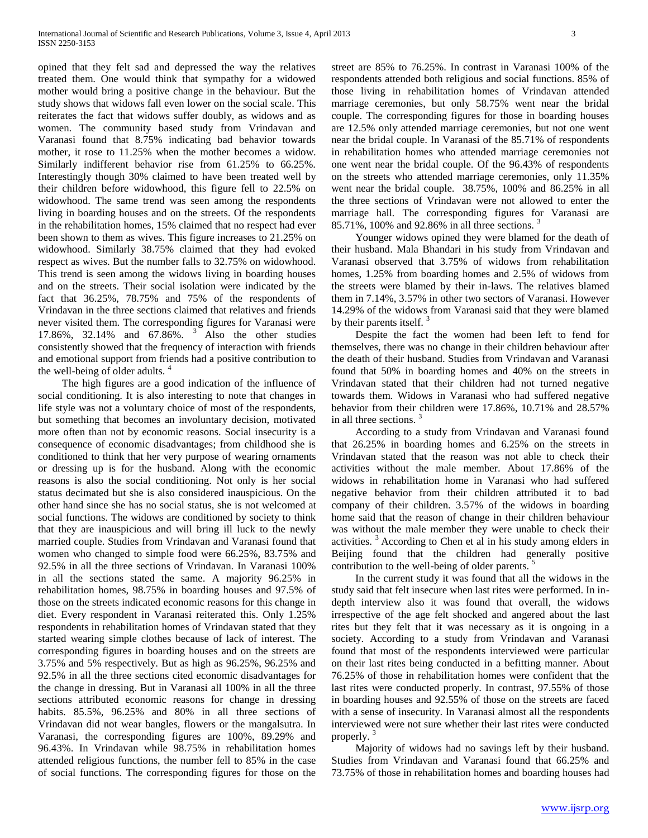opined that they felt sad and depressed the way the relatives treated them. One would think that sympathy for a widowed mother would bring a positive change in the behaviour. But the study shows that widows fall even lower on the social scale. This reiterates the fact that widows suffer doubly, as widows and as women. The community based study from Vrindavan and Varanasi found that 8.75% indicating bad behavior towards mother, it rose to 11.25% when the mother becomes a widow. Similarly indifferent behavior rise from 61.25% to 66.25%. Interestingly though 30% claimed to have been treated well by their children before widowhood, this figure fell to 22.5% on widowhood. The same trend was seen among the respondents living in boarding houses and on the streets. Of the respondents in the rehabilitation homes, 15% claimed that no respect had ever been shown to them as wives. This figure increases to 21.25% on widowhood. Similarly 38.75% claimed that they had evoked respect as wives. But the number falls to 32.75% on widowhood. This trend is seen among the widows living in boarding houses and on the streets. Their social isolation were indicated by the fact that 36.25%, 78.75% and 75% of the respondents of Vrindavan in the three sections claimed that relatives and friends never visited them. The corresponding figures for Varanasi were 17.86%, 32.14% and 67.86%. <sup>3</sup> Also the other studies consistently showed that the frequency of interaction with friends and emotional support from friends had a positive contribution to the well-being of older adults.<sup>4</sup>

 The high figures are a good indication of the influence of social conditioning. It is also interesting to note that changes in life style was not a voluntary choice of most of the respondents, but something that becomes an involuntary decision, motivated more often than not by economic reasons. Social insecurity is a consequence of economic disadvantages; from childhood she is conditioned to think that her very purpose of wearing ornaments or dressing up is for the husband. Along with the economic reasons is also the social conditioning. Not only is her social status decimated but she is also considered inauspicious. On the other hand since she has no social status, she is not welcomed at social functions. The widows are conditioned by society to think that they are inauspicious and will bring ill luck to the newly married couple. Studies from Vrindavan and Varanasi found that women who changed to simple food were 66.25%, 83.75% and 92.5% in all the three sections of Vrindavan. In Varanasi 100% in all the sections stated the same. A majority 96.25% in rehabilitation homes, 98.75% in boarding houses and 97.5% of those on the streets indicated economic reasons for this change in diet. Every respondent in Varanasi reiterated this. Only 1.25% respondents in rehabilitation homes of Vrindavan stated that they started wearing simple clothes because of lack of interest. The corresponding figures in boarding houses and on the streets are 3.75% and 5% respectively. But as high as 96.25%, 96.25% and 92.5% in all the three sections cited economic disadvantages for the change in dressing. But in Varanasi all 100% in all the three sections attributed economic reasons for change in dressing habits. 85.5%, 96.25% and 80% in all three sections of Vrindavan did not wear bangles, flowers or the mangalsutra. In Varanasi, the corresponding figures are 100%, 89.29% and 96.43%. In Vrindavan while 98.75% in rehabilitation homes attended religious functions, the number fell to 85% in the case of social functions. The corresponding figures for those on the

street are 85% to 76.25%. In contrast in Varanasi 100% of the respondents attended both religious and social functions. 85% of those living in rehabilitation homes of Vrindavan attended marriage ceremonies, but only 58.75% went near the bridal couple. The corresponding figures for those in boarding houses are 12.5% only attended marriage ceremonies, but not one went near the bridal couple. In Varanasi of the 85.71% of respondents in rehabilitation homes who attended marriage ceremonies not one went near the bridal couple. Of the 96.43% of respondents on the streets who attended marriage ceremonies, only 11.35% went near the bridal couple. 38.75%, 100% and 86.25% in all the three sections of Vrindavan were not allowed to enter the marriage hall*.* The corresponding figures for Varanasi are 85.71%, 100% and 92.86% in all three sections. <sup>3</sup>

 Younger widows opined they were blamed for the death of their husband. Mala Bhandari in his study from Vrindavan and Varanasi observed that 3.75% of widows from rehabilitation homes, 1.25% from boarding homes and 2.5% of widows from the streets were blamed by their in-laws. The relatives blamed them in 7.14%, 3.57% in other two sectors of Varanasi. However 14.29% of the widows from Varanasi said that they were blamed by their parents itself.

 Despite the fact the women had been left to fend for themselves, there was no change in their children behaviour after the death of their husband. Studies from Vrindavan and Varanasi found that 50% in boarding homes and 40% on the streets in Vrindavan stated that their children had not turned negative towards them. Widows in Varanasi who had suffered negative behavior from their children were 17.86%, 10.71% and 28.57% in all three sections.

 According to a study from Vrindavan and Varanasi found that 26.25% in boarding homes and 6.25% on the streets in Vrindavan stated that the reason was not able to check their activities without the male member. About 17.86% of the widows in rehabilitation home in Varanasi who had suffered negative behavior from their children attributed it to bad company of their children. 3.57% of the widows in boarding home said that the reason of change in their children behaviour was without the male member they were unable to check their activities. <sup>3</sup>According to Chen et al in his study among elders in Beijing found that the children had generally positive contribution to the well-being of older parents.

 In the current study it was found that all the widows in the study said that felt insecure when last rites were performed. In indepth interview also it was found that overall, the widows irrespective of the age felt shocked and angered about the last rites but they felt that it was necessary as it is ongoing in a society. According to a study from Vrindavan and Varanasi found that most of the respondents interviewed were particular on their last rites being conducted in a befitting manner. About 76.25% of those in rehabilitation homes were confident that the last rites were conducted properly. In contrast, 97.55% of those in boarding houses and 92.55% of those on the streets are faced with a sense of insecurity. In Varanasi almost all the respondents interviewed were not sure whether their last rites were conducted properly.

 Majority of widows had no savings left by their husband. Studies from Vrindavan and Varanasi found that 66.25% and 73.75% of those in rehabilitation homes and boarding houses had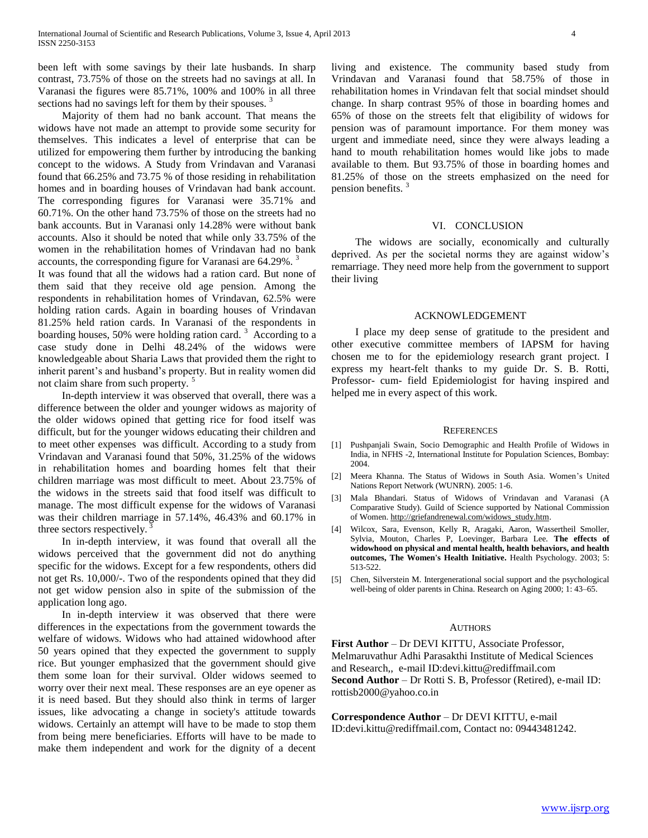been left with some savings by their late husbands. In sharp contrast, 73.75% of those on the streets had no savings at all. In Varanasi the figures were 85.71%, 100% and 100% in all three sections had no savings left for them by their spouses.<sup>3</sup>

 Majority of them had no bank account. That means the widows have not made an attempt to provide some security for themselves. This indicates a level of enterprise that can be utilized for empowering them further by introducing the banking concept to the widows. A Study from Vrindavan and Varanasi found that 66.25% and 73.75 % of those residing in rehabilitation homes and in boarding houses of Vrindavan had bank account. The corresponding figures for Varanasi were 35.71% and 60.71%. On the other hand 73.75% of those on the streets had no bank accounts. But in Varanasi only 14.28% were without bank accounts. Also it should be noted that while only 33.75% of the women in the rehabilitation homes of Vrindavan had no bank accounts, the corresponding figure for Varanasi are 64.29%.<sup>3</sup>

It was found that all the widows had a ration card. But none of them said that they receive old age pension. Among the respondents in rehabilitation homes of Vrindavan, 62.5% were holding ration cards. Again in boarding houses of Vrindavan 81.25% held ration cards. In Varanasi of the respondents in boarding houses,  $50\%$  were holding ration card.<sup>3</sup> According to a case study done in Delhi 48.24% of the widows were knowledgeable about Sharia Laws that provided them the right to inherit parent's and husband's property. But in reality women did not claim share from such property.<sup>5</sup>

 In-depth interview it was observed that overall, there was a difference between the older and younger widows as majority of the older widows opined that getting rice for food itself was difficult, but for the younger widows educating their children and to meet other expenses was difficult. According to a study from Vrindavan and Varanasi found that 50%, 31.25% of the widows in rehabilitation homes and boarding homes felt that their children marriage was most difficult to meet. About 23.75% of the widows in the streets said that food itself was difficult to manage. The most difficult expense for the widows of Varanasi was their children marriage in 57.14%, 46.43% and 60.17% in three sectors respectively. $3$ 

 In in-depth interview, it was found that overall all the widows perceived that the government did not do anything specific for the widows. Except for a few respondents, others did not get Rs. 10,000/-. Two of the respondents opined that they did not get widow pension also in spite of the submission of the application long ago.

 In in-depth interview it was observed that there were differences in the expectations from the government towards the welfare of widows. Widows who had attained widowhood after 50 years opined that they expected the government to supply rice. But younger emphasized that the government should give them some loan for their survival. Older widows seemed to worry over their next meal. These responses are an eye opener as it is need based. But they should also think in terms of larger issues, like advocating a change in society's attitude towards widows. Certainly an attempt will have to be made to stop them from being mere beneficiaries. Efforts will have to be made to make them independent and work for the dignity of a decent

living and existence. The community based study from Vrindavan and Varanasi found that 58.75% of those in rehabilitation homes in Vrindavan felt that social mindset should change. In sharp contrast 95% of those in boarding homes and 65% of those on the streets felt that eligibility of widows for pension was of paramount importance. For them money was urgent and immediate need, since they were always leading a hand to mouth rehabilitation homes would like jobs to made available to them. But 93.75% of those in boarding homes and 81.25% of those on the streets emphasized on the need for pension benefits. <sup>3</sup>

#### VI. CONCLUSION

 The widows are socially, economically and culturally deprived. As per the societal norms they are against widow's remarriage. They need more help from the government to support their living

## ACKNOWLEDGEMENT

 I place my deep sense of gratitude to the president and other executive committee members of IAPSM for having chosen me to for the epidemiology research grant project. I express my heart-felt thanks to my guide Dr. S. B. Rotti, Professor- cum- field Epidemiologist for having inspired and helped me in every aspect of this work.

#### **REFERENCES**

- [1] Pushpanjali Swain, Socio Demographic and Health Profile of Widows in India, in NFHS -2, International Institute for Population Sciences, Bombay: 2004.
- [2] Meera Khanna. The Status of Widows in South Asia. Women's United Nations Report Network (WUNRN). 2005: 1-6.
- [3] Mala Bhandari. Status of Widows of Vrindavan and Varanasi (A Comparative Study). Guild of Science supported by National Commission of Women. [http://griefandrenewal.com/widows\\_study.htm.](http://griefandrenewal.com/widows_study.htm)
- [4] Wilcox, Sara, Evenson, Kelly R, Aragaki, Aaron, Wassertheil Smoller, Sylvia, Mouton, Charles P, Loevinger, Barbara Lee. **The effects of widowhood on physical and mental health, health behaviors, and health outcomes, The Women's Health Initiative.** Health Psychology. 2003; 5: 513-522.
- [5] Chen, Silverstein M. Intergenerational social support and the psychological well-being of older parents in China. Research on Aging 2000; 1: 43–65.

#### AUTHORS

**First Author** – Dr DEVI KITTU, Associate Professor, Melmaruvathur Adhi Parasakthi Institute of Medical Sciences and Research,, e-mail ID:devi.kittu@rediffmail.com **Second Author** – Dr Rotti S. B, Professor (Retired), e-mail ID: rottisb2000@yahoo.co.in

**Correspondence Author** – Dr DEVI KITTU, e-mail ID:devi.kittu@rediffmail.com, Contact no: 09443481242.